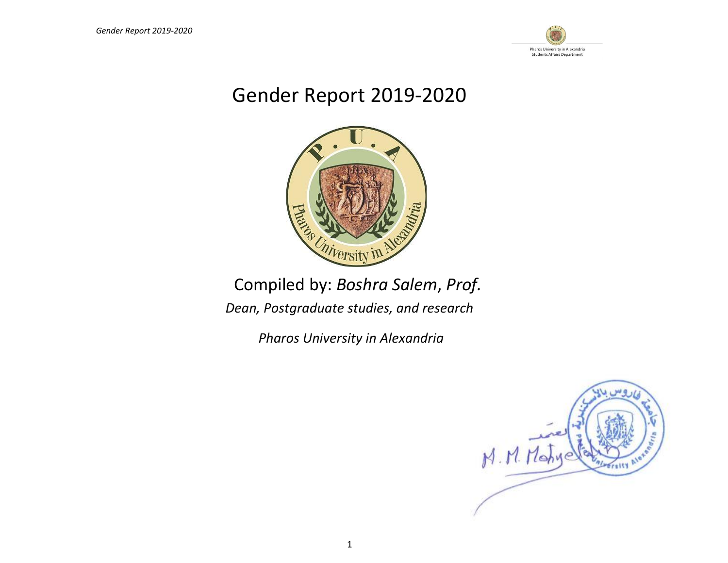

# Gender Report 2019-2020



# Compiled by: *Boshra Salem*, *Prof.*

*Dean, Postgraduate studies, and research*

*Pharos University in Alexandria*

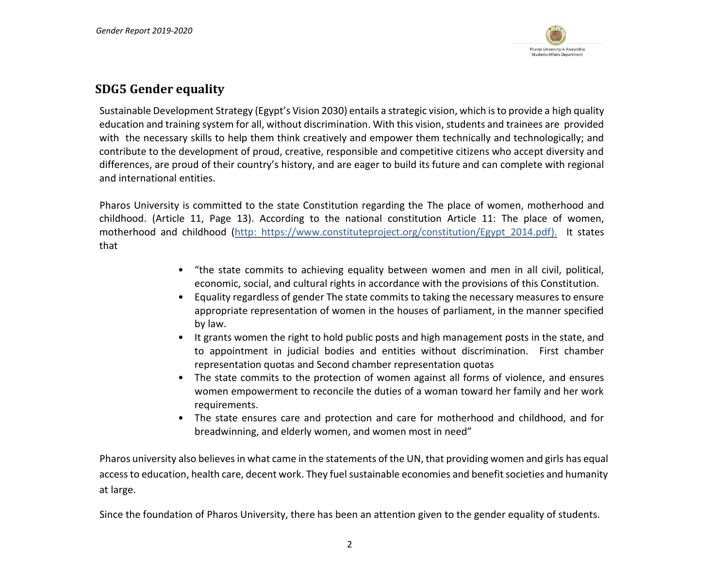

# **SDG5 Gender equality**

Sustainable Development Strategy (Egypt's Vision 2030) entails a strategic vision, which is to provide a high quality education and training system for all, without discrimination. With this vision, students and trainees are provided with the necessary skills to help them think creatively and empower them technically and technologically; and contribute to the development of proud, creative, responsible and competitive citizens who accept diversity and differences, are proud of their country's history, and are eager to build its future and can complete with regional and international entities.

Pharos University is committed to the state Constitution regarding the The place of women, motherhood and childhood. (Article 11, Page 13). According to the national constitution Article 11: The place of women, motherhood and childhood (http: [https://www.constituteproject.org/constitution/Egypt\\_2014.pdf\)](https://www.constituteproject.org/constitution/Egypt_2014.pdf). It states that

- "the state commits to achieving equality between women and men in all civil, political, economic, social, and cultural rights in accordance with the provisions of this Constitution.
- Equality regardless of gender The state commits to taking the necessary measures to ensure appropriate representation of women in the houses of parliament, in the manner specified by law.
- It grants women the right to hold public posts and high management posts in the state, and to appointment in judicial bodies and entities without discrimination. First chamber representation quotas and Second chamber representation quotas
- The state commits to the protection of women against all forms of violence, and ensures women empowerment to reconcile the duties of a woman toward her family and her work requirements.
- The state ensures care and protection and care for motherhood and childhood, and for breadwinning, and elderly women, and women most in need"

Pharos university also believes in what came in the statements of the UN, that providing women and girls has equal access to education, health care, decent work. They fuel sustainable economies and benefit societies and humanity at large.

Since the foundation of Pharos University, there has been an attention given to the gender equality of students.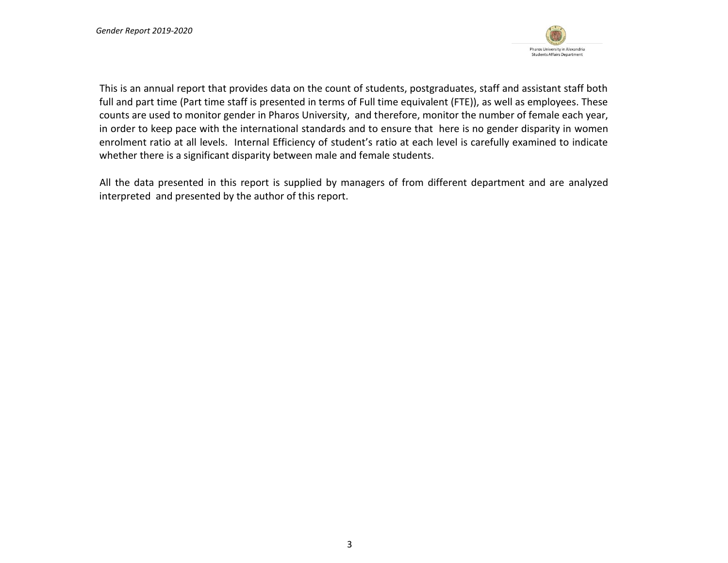

This is an annual report that provides data on the count of students, postgraduates, staff and assistant staff both full and part time (Part time staff is presented in terms of Full time equivalent (FTE)), as well as employees. These counts are used to monitor gender in Pharos University, and therefore, monitor the number of female each year, in order to keep pace with the international standards and to ensure that here is no gender disparity in women enrolment ratio at all levels. Internal Efficiency of student's ratio at each level is carefully examined to indicate whether there is a significant disparity between male and female students.

All the data presented in this report is supplied by managers of from different department and are analyzed interpreted and presented by the author of this report.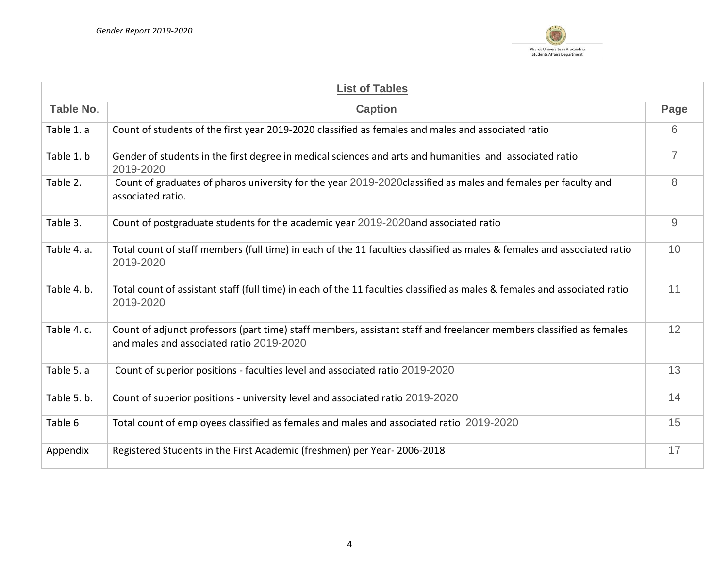

| <b>List of Tables</b> |                                                                                                                                                                 |                |  |  |  |  |  |  |  |
|-----------------------|-----------------------------------------------------------------------------------------------------------------------------------------------------------------|----------------|--|--|--|--|--|--|--|
| Table No.             | <b>Caption</b>                                                                                                                                                  | Page           |  |  |  |  |  |  |  |
| Table 1. a            | Count of students of the first year 2019-2020 classified as females and males and associated ratio                                                              | 6              |  |  |  |  |  |  |  |
| Table 1. b            | Gender of students in the first degree in medical sciences and arts and humanities and associated ratio<br>2019-2020                                            | $\overline{7}$ |  |  |  |  |  |  |  |
| Table 2.              | Count of graduates of pharos university for the year 2019-2020 classified as males and females per faculty and<br>associated ratio.                             | 8              |  |  |  |  |  |  |  |
| Table 3.              | Count of postgraduate students for the academic year 2019-2020and associated ratio                                                                              | $\overline{9}$ |  |  |  |  |  |  |  |
| Table 4. a.           | Total count of staff members (full time) in each of the 11 faculties classified as males & females and associated ratio<br>2019-2020                            | 10             |  |  |  |  |  |  |  |
| Table 4. b.           | Total count of assistant staff (full time) in each of the 11 faculties classified as males & females and associated ratio<br>2019-2020                          | 11             |  |  |  |  |  |  |  |
| Table 4. c.           | Count of adjunct professors (part time) staff members, assistant staff and freelancer members classified as females<br>and males and associated ratio 2019-2020 | 12             |  |  |  |  |  |  |  |
| Table 5. a            | Count of superior positions - faculties level and associated ratio 2019-2020                                                                                    | 13             |  |  |  |  |  |  |  |
| Table 5. b.           | Count of superior positions - university level and associated ratio 2019-2020                                                                                   | 14             |  |  |  |  |  |  |  |
| Table 6               | Total count of employees classified as females and males and associated ratio 2019-2020                                                                         | 15             |  |  |  |  |  |  |  |
| Appendix              | Registered Students in the First Academic (freshmen) per Year-2006-2018                                                                                         | 17             |  |  |  |  |  |  |  |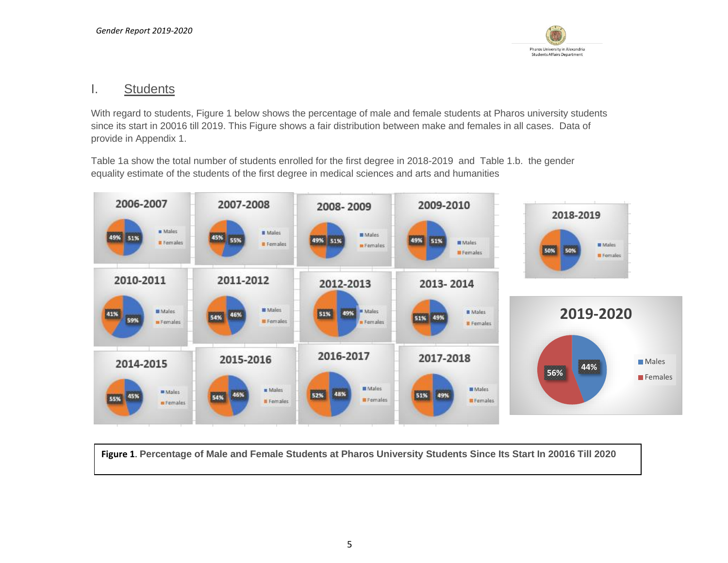

# I. Students

With regard to students, Figure 1 below shows the percentage of male and female students at Pharos university students since its start in 20016 till 2019. This Figure shows a fair distribution between make and females in all cases. Data of provide in Appendix 1.

Table 1a show the total number of students enrolled for the first degree in 2018-2019 and Table 1.b. the gender equality estimate of the students of the first degree in medical sciences and arts and humanities



**Figure 1**. **Percentage of Male and Female Students at Pharos University Students Since Its Start In 20016 Till 2020**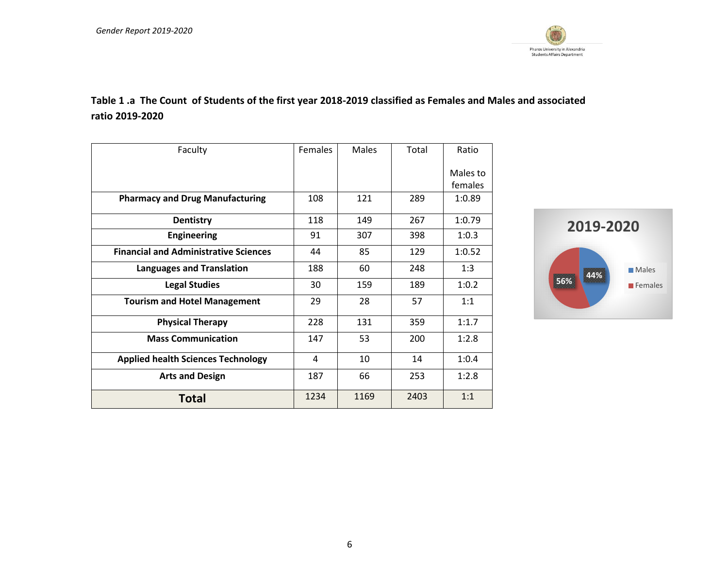

# **Table 1 .a The Count of Students of the first year 2018-2019 classified as Females and Males and associated ratio 2019-2020**

| Faculty                                      | <b>Females</b> | <b>Males</b> | Total | Ratio               |
|----------------------------------------------|----------------|--------------|-------|---------------------|
|                                              |                |              |       | Males to<br>females |
| <b>Pharmacy and Drug Manufacturing</b>       | 108            | 121          | 289   | 1:0.89              |
| <b>Dentistry</b>                             | 118            | 149          | 267   | 1:0.79              |
| <b>Engineering</b>                           | 91             | 307          | 398   | 1:0.3               |
| <b>Financial and Administrative Sciences</b> | 44             | 85           | 129   | 1:0.52              |
| <b>Languages and Translation</b>             | 188            | 60           | 248   | 1:3                 |
| <b>Legal Studies</b>                         | 30             | 159          | 189   | 1:0.2               |
| <b>Tourism and Hotel Management</b>          | 29             | 28           | 57    | 1:1                 |
| <b>Physical Therapy</b>                      | 228            | 131          | 359   | 1:1.7               |
| <b>Mass Communication</b>                    | 147            | 53           | 200   | 1:2.8               |
| <b>Applied health Sciences Technology</b>    | 4              | 10           | 14    | 1:0.4               |
| <b>Arts and Design</b>                       | 187            | 66           | 253   | 1:2.8               |
| <b>Total</b>                                 | 1234           | 1169         | 2403  | 1:1                 |

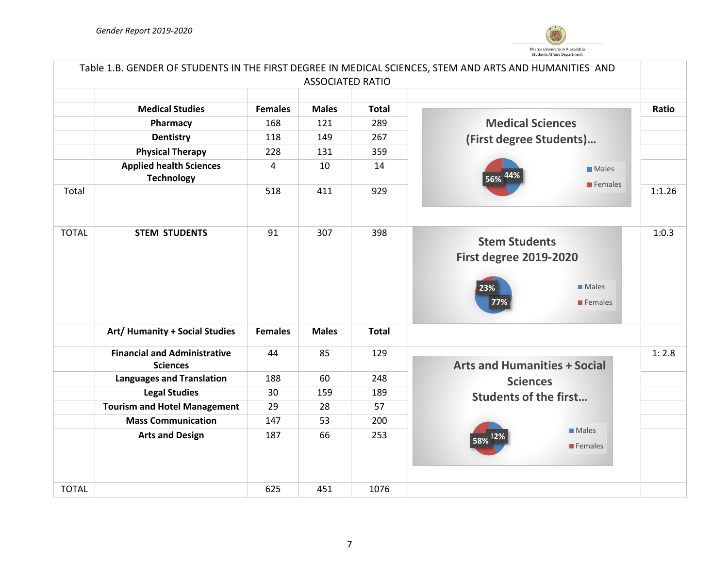

| Table 1.B. GENDER OF STUDENTS IN THE FIRST DEGREE IN MEDICAL SCIENCES, STEM AND ARTS AND HUMANITIES AND |                                                        |                |                         |              |                                                                                                |        |  |  |
|---------------------------------------------------------------------------------------------------------|--------------------------------------------------------|----------------|-------------------------|--------------|------------------------------------------------------------------------------------------------|--------|--|--|
|                                                                                                         |                                                        |                | <b>ASSOCIATED RATIO</b> |              |                                                                                                |        |  |  |
|                                                                                                         |                                                        |                |                         |              |                                                                                                |        |  |  |
|                                                                                                         | <b>Medical Studies</b>                                 | <b>Females</b> | <b>Males</b>            | <b>Total</b> |                                                                                                | Ratio  |  |  |
|                                                                                                         | Pharmacy                                               | 168            | 121                     | 289          | <b>Medical Sciences</b>                                                                        |        |  |  |
|                                                                                                         | <b>Dentistry</b>                                       | 118            | 149                     | 267          | (First degree Students)                                                                        |        |  |  |
|                                                                                                         | <b>Physical Therapy</b>                                | 228            | 131                     | 359          |                                                                                                |        |  |  |
|                                                                                                         | <b>Applied health Sciences</b><br><b>Technology</b>    | 4              | 10                      | 14           | <b>Males</b><br>56%<br>$\blacksquare$ Females                                                  |        |  |  |
| Total                                                                                                   |                                                        | 518            | 411                     | 929          |                                                                                                | 1:1.26 |  |  |
| <b>TOTAL</b>                                                                                            | <b>STEM STUDENTS</b>                                   | 91             | 307                     | 398          | <b>Stem Students</b><br><b>First degree 2019-2020</b><br><b>Males</b><br>23%<br>77%<br>Females | 1:0.3  |  |  |
|                                                                                                         | Art/ Humanity + Social Studies                         | <b>Females</b> | <b>Males</b>            | <b>Total</b> |                                                                                                |        |  |  |
|                                                                                                         | <b>Financial and Administrative</b><br><b>Sciences</b> | 44             | 85                      | 129          | <b>Arts and Humanities + Social</b>                                                            | 1:2.8  |  |  |
|                                                                                                         | <b>Languages and Translation</b>                       | 188            | 60                      | 248          | <b>Sciences</b>                                                                                |        |  |  |
|                                                                                                         | <b>Legal Studies</b>                                   | 30             | 159                     | 189          | <b>Students of the first</b>                                                                   |        |  |  |
|                                                                                                         | <b>Tourism and Hotel Management</b>                    | 29             | 28                      | 57           |                                                                                                |        |  |  |
|                                                                                                         | <b>Mass Communication</b>                              | 147            | 53                      | 200          |                                                                                                |        |  |  |
|                                                                                                         | <b>Arts and Design</b>                                 | 187            | 66                      | 253          | <b>Males</b><br>58%<br>$\blacksquare$ Females                                                  |        |  |  |
| <b>TOTAL</b>                                                                                            |                                                        | 625            | 451                     | 1076         |                                                                                                |        |  |  |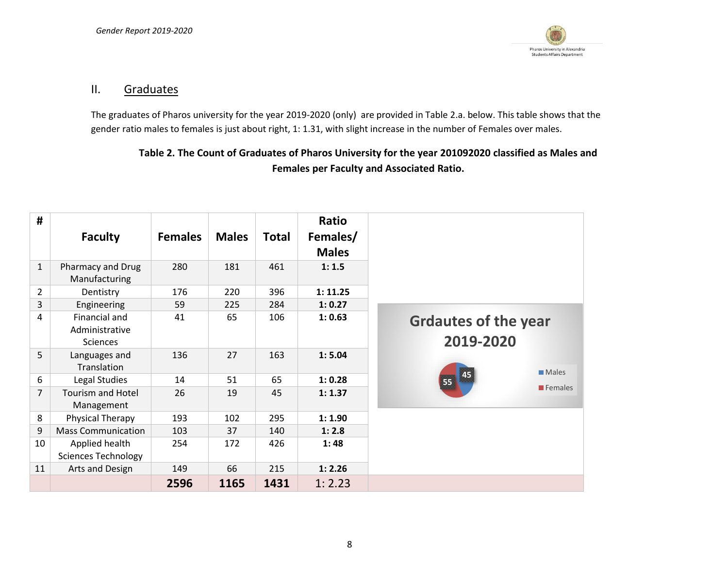

### II. Graduates

The graduates of Pharos university for the year 2019-2020 (only) are provided in Table 2.a. below. This table shows that the gender ratio males to females is just about right, 1: 1.31, with slight increase in the number of Females over males.

# **Table 2. The Count of Graduates of Pharos University for the year 201092020 classified as Males and Females per Faculty and Associated Ratio.**

| <b>Faculty</b>                                                       | <b>Females</b> | <b>Males</b> | <b>Total</b> | <b>Ratio</b><br>Females/<br><b>Males</b> |                                          |
|----------------------------------------------------------------------|----------------|--------------|--------------|------------------------------------------|------------------------------------------|
| $\mathbf{1}$<br>Pharmacy and Drug<br>Manufacturing                   | 280            | 181          | 461          | 1:1.5                                    |                                          |
| $\overline{2}$<br>Dentistry                                          | 176            | 220          | 396          | 1: 11.25                                 |                                          |
| $\overline{3}$<br>Engineering                                        | 59             | 225          | 284          | 1: 0.27                                  |                                          |
| $\overline{4}$<br>Financial and<br>Administrative<br><b>Sciences</b> | 41             | 65           | 106          | 1: 0.63                                  | <b>Grdautes of the year</b><br>2019-2020 |
| 5<br>Languages and<br>Translation                                    | 136            | 27           | 163          | 1: 5.04                                  | $\blacksquare$ Males                     |
| 6<br>Legal Studies                                                   | 14             | 51           | 65           | 1: 0.28                                  | 45<br>$\overline{55}$                    |
| $\overline{7}$<br><b>Tourism and Hotel</b><br>Management             | 26             | 19           | 45           | 1:1.37                                   | $\blacksquare$ Females                   |
| 8<br>Physical Therapy                                                | 193            | 102          | 295          | 1:1.90                                   |                                          |
| 9<br><b>Mass Communication</b>                                       | 103            | 37           | 140          | 1:2.8                                    |                                          |
| Applied health<br>10<br><b>Sciences Technology</b>                   | 254            | 172          | 426          | 1:48                                     |                                          |
| Arts and Design<br>11                                                | 149            | 66           | 215          | 1: 2.26                                  |                                          |
|                                                                      | 2596           | 1165         | 1431         | 1:2.23                                   |                                          |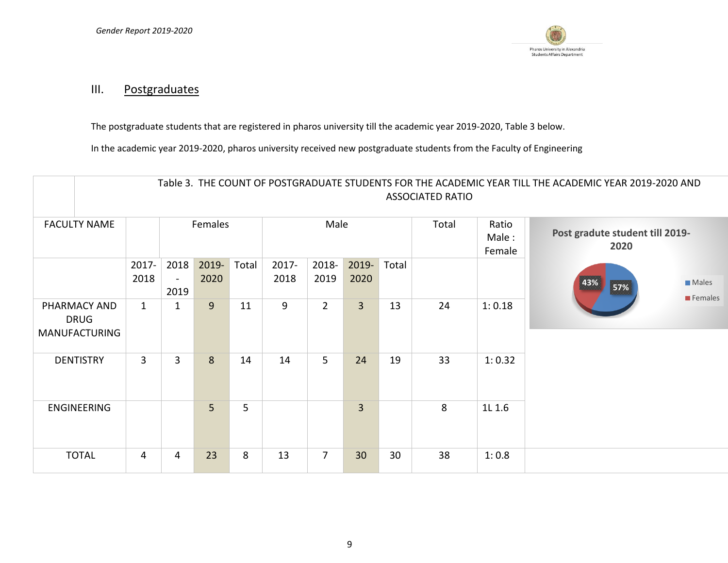

# III. Postgraduates

The postgraduate students that are registered in pharos university till the academic year 2019-2020, Table 3 below.

In the academic year 2019-2020, pharos university received new postgraduate students from the Faculty of Engineering

|                                                     |                |                                |               |       |               |                |                |                          | <b>ASSOCIATED RATIO</b>                 |        | Table 3. THE COUNT OF POSTGRADUATE STUDENTS FOR THE ACADEMIC YEAR TILL THE ACADEMIC YEAR 2019-2020 AND |                                        |
|-----------------------------------------------------|----------------|--------------------------------|---------------|-------|---------------|----------------|----------------|--------------------------|-----------------------------------------|--------|--------------------------------------------------------------------------------------------------------|----------------------------------------|
| <b>FACULTY NAME</b>                                 |                | Females                        |               |       | Male          |                | Total          | Ratio<br>Male:<br>Female | Post gradute student till 2019-<br>2020 |        |                                                                                                        |                                        |
|                                                     | 2017-<br>2018  | 2018<br>$\blacksquare$<br>2019 | 2019-<br>2020 | Total | 2017-<br>2018 | 2018-<br>2019  | 2019-<br>2020  | Total                    |                                         |        | 43%<br>57%                                                                                             | <b>Males</b><br>$\blacksquare$ Females |
| PHARMACY AND<br><b>DRUG</b><br><b>MANUFACTURING</b> | $\mathbf{1}$   | 1                              | 9             | 11    | 9             | $2^{\circ}$    | $\overline{3}$ | 13                       | 24                                      | 1:0.18 |                                                                                                        |                                        |
| <b>DENTISTRY</b>                                    | $\overline{3}$ | $\overline{3}$                 | 8             | 14    | 14            | 5              | 24             | 19                       | 33                                      | 1:0.32 |                                                                                                        |                                        |
| ENGINEERING                                         |                |                                | 5             | 5     |               |                | $\overline{3}$ |                          | 8                                       | 1L 1.6 |                                                                                                        |                                        |
| <b>TOTAL</b>                                        | $\overline{4}$ | 4                              | 23            | 8     | 13            | $\overline{7}$ | 30             | 30                       | 38                                      | 1:0.8  |                                                                                                        |                                        |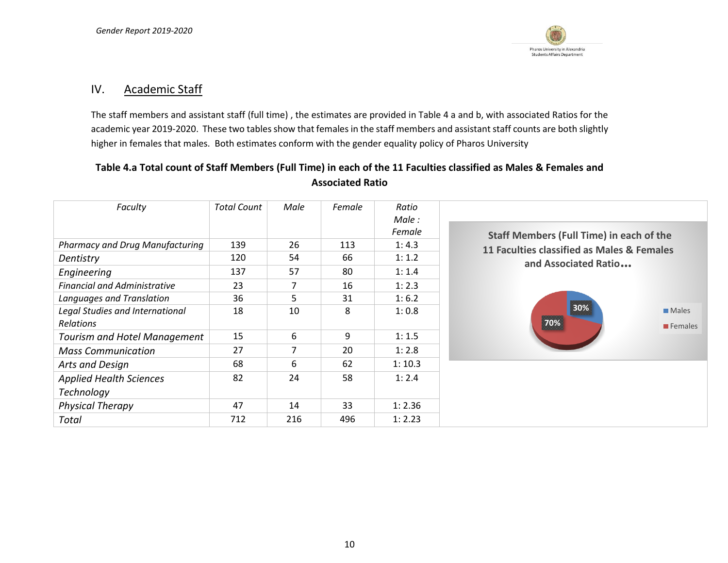

#### IV. Academic Staff

The staff members and assistant staff (full time) , the estimates are provided in Table 4 a and b, with associated Ratios for the academic year 2019-2020. These two tables show that females in the staff members and assistant staff counts are both slightly higher in females that males. Both estimates conform with the gender equality policy of Pharos University

## **Table 4.a Total count of Staff Members (Full Time) in each of the 11 Faculties classified as Males & Females and Associated Ratio**

| Faculty                                | <b>Total Count</b> | Male | Female | Ratio<br>Male:<br>Female |                                                 |  |  |  |
|----------------------------------------|--------------------|------|--------|--------------------------|-------------------------------------------------|--|--|--|
| <b>Pharmacy and Drug Manufacturing</b> | 139                | 26   | 113    | 1:4.3                    | <b>Staff Members (Full Time) in each of the</b> |  |  |  |
| Dentistry                              | 120                | 54   | 66     | 1:1.2                    | 11 Faculties classified as Males & Females      |  |  |  |
| Engineering                            | 137                | 57   | 80     | 1:1.4                    | and Associated Ratio                            |  |  |  |
| <b>Financial and Administrative</b>    | 23                 | 7    | 16     | 1:2.3                    |                                                 |  |  |  |
| Languages and Translation              | 36                 | 5    | 31     | 1:6.2                    |                                                 |  |  |  |
| Legal Studies and International        | 18                 | 10   | 8      | 1:0.8                    | 30%<br>Males                                    |  |  |  |
| <b>Relations</b>                       |                    |      |        |                          | 70%<br>$\blacksquare$ Females                   |  |  |  |
| Tourism and Hotel Management           | 15                 | 6    | 9      | 1:1.5                    |                                                 |  |  |  |
| <b>Mass Communication</b>              | 27                 | 7    | 20     | 1:2.8                    |                                                 |  |  |  |
| Arts and Design                        | 68                 | 6    | 62     | 1:10.3                   |                                                 |  |  |  |
| <b>Applied Health Sciences</b>         | 82                 | 24   | 58     | 1:2.4                    |                                                 |  |  |  |
| <b>Technology</b>                      |                    |      |        |                          |                                                 |  |  |  |
| <b>Physical Therapy</b>                | 47                 | 14   | 33     | 1:2.36                   |                                                 |  |  |  |
| Total                                  | 712                | 216  | 496    | 1:2.23                   |                                                 |  |  |  |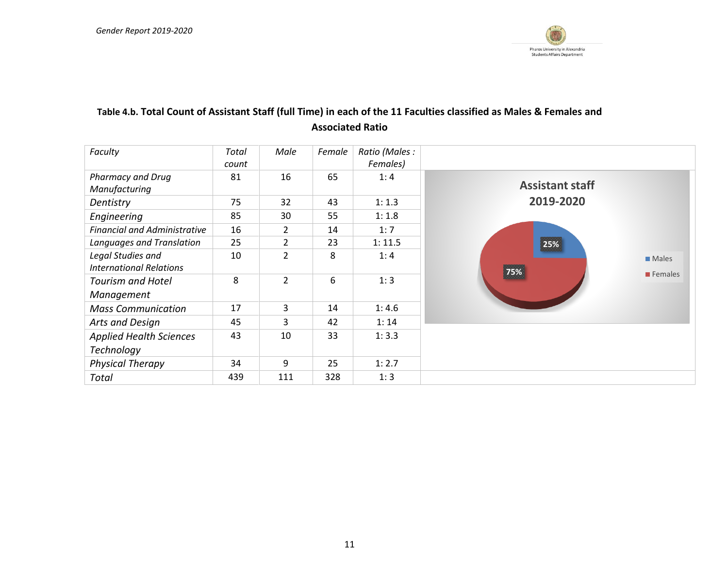

# **Table 4.b. Total Count of Assistant Staff (full Time) in each of the 11 Faculties classified as Males & Females and Associated Ratio**

| Faculty                                             | Total<br>count | Male           | Female | Ratio (Males :<br>Females) |                             |
|-----------------------------------------------------|----------------|----------------|--------|----------------------------|-----------------------------|
| <b>Pharmacy and Drug</b><br>Manufacturing           | 81             | 16             | 65     | 1:4                        | <b>Assistant staff</b>      |
| Dentistry                                           | 75             | 32             | 43     | 1:1.3                      | 2019-2020                   |
| Engineering                                         | 85             | 30             | 55     | 1:1.8                      |                             |
| <b>Financial and Administrative</b>                 | 16             | $\overline{2}$ | 14     | 1:7                        |                             |
| Languages and Translation                           | 25             | $\overline{2}$ | 23     | 1:11.5                     | 25%                         |
| Legal Studies and<br><b>International Relations</b> | 10             | $\overline{2}$ | 8      | 1:4                        | $\blacksquare$ Males<br>75% |
| <b>Tourism and Hotel</b><br>Management              | 8              | $\overline{2}$ | 6      | 1:3                        | $\blacksquare$ Females      |
| <b>Mass Communication</b>                           | 17             | 3              | 14     | 1:4.6                      |                             |
| Arts and Design                                     | 45             | 3              | 42     | 1:14                       |                             |
| <b>Applied Health Sciences</b><br>Technology        | 43             | 10             | 33     | 1:3.3                      |                             |
| <b>Physical Therapy</b>                             | 34             | 9              | 25     | 1:2.7                      |                             |
| Total                                               | 439            | 111            | 328    | 1:3                        |                             |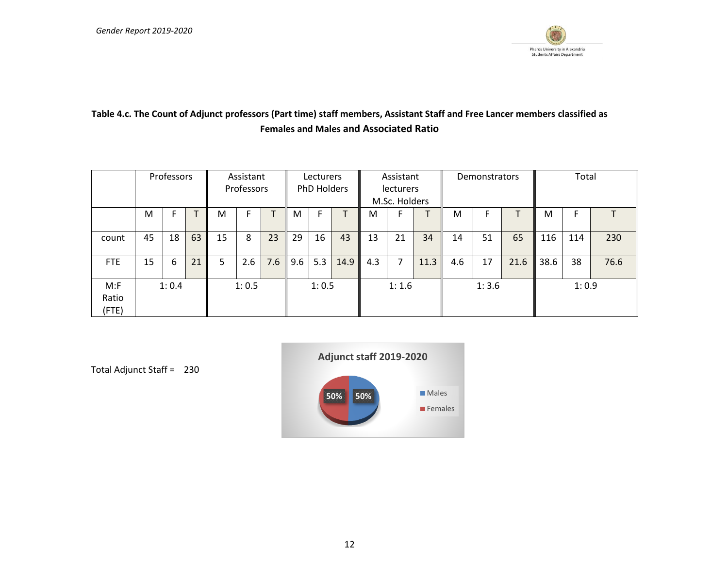

# **Table 4.c. The Count of Adjunct professors (Part time) staff members, Assistant Staff and Free Lancer members classified as Females and Males and Associated Ratio**

|                          |    | Professors |    | Assistant<br>Professors |       | Lecturers<br>PhD Holders |     |       | Assistant<br>lecturers<br>M.Sc. Holders |       |    | Demonstrators |     |    | Total |      |     |      |
|--------------------------|----|------------|----|-------------------------|-------|--------------------------|-----|-------|-----------------------------------------|-------|----|---------------|-----|----|-------|------|-----|------|
|                          | M  |            |    | M                       |       |                          | M   |       |                                         | M     | F  |               | М   | F  |       | M    |     |      |
| count                    | 45 | 18         | 63 | 15                      | 8     | 23                       | 29  | 16    | 43                                      | 13    | 21 | 34            | 14  | 51 | 65    | 116  | 114 | 230  |
| <b>FTE</b>               | 15 | 6          | 21 | 5.                      | 2.6   | 7.6                      | 9.6 | 5.3   | 14.9                                    | 4.3   | 7  | 11.3          | 4.6 | 17 | 21.6  | 38.6 | 38  | 76.6 |
| $M:$ F<br>Ratio<br>(FTE) |    | 1:0.4      |    |                         | 1:0.5 |                          |     | 1:0.5 |                                         | 1:1.6 |    | 1:3.6         |     |    | 1:0.9 |      |     |      |



Total Adjunct Staff = 230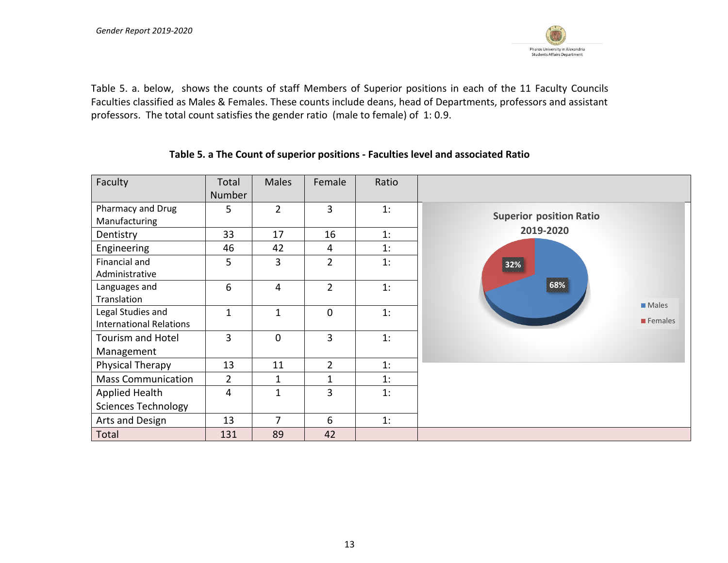

Table 5. a. below, shows the counts of staff Members of Superior positions in each of the 11 Faculty Councils Faculties classified as Males & Females. These counts include deans, head of Departments, professors and assistant professors. The total count satisfies the gender ratio (male to female) of 1: 0.9.

#### **Table 5. a The Count of superior positions - Faculties level and associated Ratio**

| Faculty                                             | Total<br><b>Number</b> | <b>Males</b>   | Female         | Ratio |                                |
|-----------------------------------------------------|------------------------|----------------|----------------|-------|--------------------------------|
| Pharmacy and Drug<br>Manufacturing                  | 5                      | $\overline{2}$ | $\overline{3}$ | 1:    | <b>Superior position Ratio</b> |
| Dentistry                                           | 33                     | 17             | 16             | 1:    | 2019-2020                      |
| Engineering                                         | 46                     | 42             | 4              | 1:    |                                |
| Financial and<br>Administrative                     | 5                      | 3              | $\overline{2}$ | 1:    | 32%                            |
| Languages and<br>Translation                        | 6                      | 4              | $\overline{2}$ | 1:    | 68%<br>$\blacksquare$ Males    |
| Legal Studies and<br><b>International Relations</b> | 1                      | $\mathbf{1}$   | $\Omega$       | 1:    | $\blacksquare$ Females         |
| <b>Tourism and Hotel</b><br>Management              | 3                      | $\mathbf 0$    | 3              | 1:    |                                |
| Physical Therapy                                    | 13                     | 11             | $\overline{2}$ | 1:    |                                |
| <b>Mass Communication</b>                           | $\overline{2}$         | $\mathbf{1}$   | 1              | 1:    |                                |
| Applied Health                                      | 4                      | $\mathbf{1}$   | 3              | 1:    |                                |
| <b>Sciences Technology</b>                          |                        |                |                |       |                                |
| Arts and Design                                     | 13                     | 7              | 6              | 1:    |                                |
| Total                                               | 131                    | 89             | 42             |       |                                |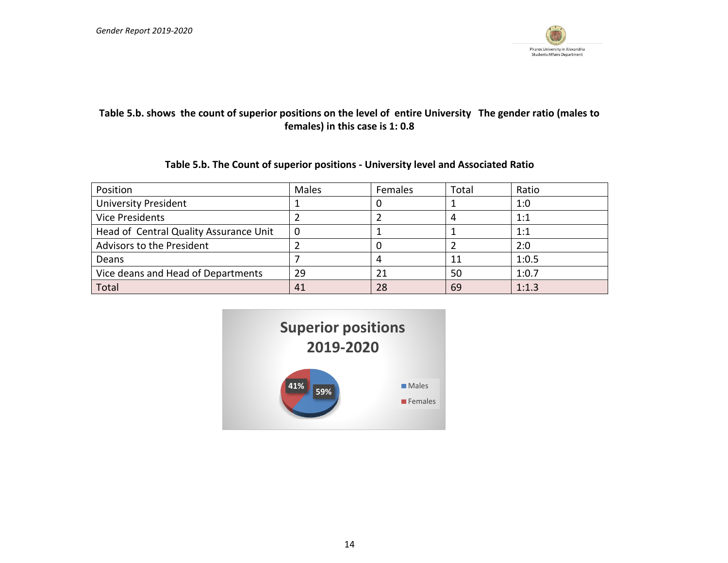

# **Table 5.b. shows the count of superior positions on the level of entire University The gender ratio (males to females) in this case is 1: 0.8**

#### **Table 5.b. The Count of superior positions - University level and Associated Ratio**

| Position                               | Males | Females | Total | Ratio |
|----------------------------------------|-------|---------|-------|-------|
| <b>University President</b>            |       | υ       |       | 1:0   |
| <b>Vice Presidents</b>                 |       |         | 4     | 1:1   |
| Head of Central Quality Assurance Unit | 0     |         |       | 1:1   |
| Advisors to the President              |       |         |       | 2:0   |
| Deans                                  |       | 4       | 11    | 1:0.5 |
| Vice deans and Head of Departments     | 29    | 21      | 50    | 1:0.7 |
| Total                                  | 41    | 28      | 69    | 1:1.3 |

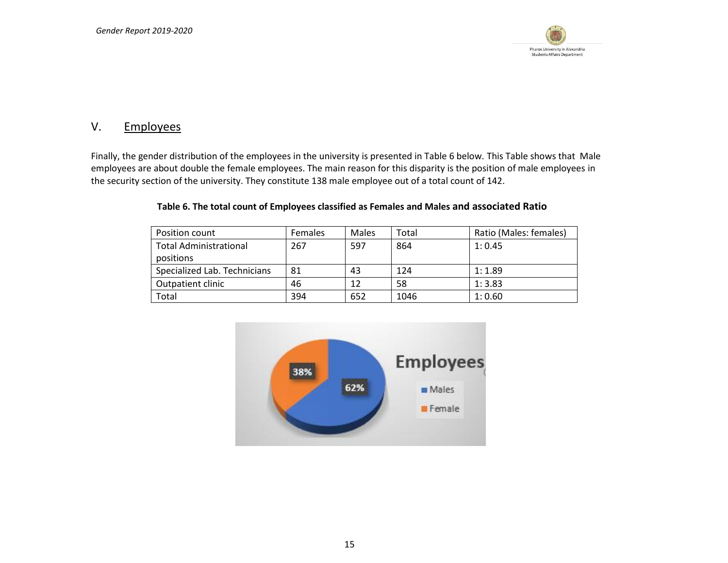

## V. Employees

Finally, the gender distribution of the employees in the university is presented in Table 6 below. This Table shows that Male employees are about double the female employees. The main reason for this disparity is the position of male employees in the security section of the university. They constitute 138 male employee out of a total count of 142.

| Position count                | <b>Females</b> | Males | Total | Ratio (Males: females) |
|-------------------------------|----------------|-------|-------|------------------------|
| <b>Total Administrational</b> | 267            | 597   | 864   | 1:0.45                 |
| positions                     |                |       |       |                        |
| Specialized Lab. Technicians  | 81             | 43    | 124   | 1:1.89                 |
| Outpatient clinic             | 46             | 12    | 58    | 1:3.83                 |
| Total                         | 394            | 652   | 1046  | 1:0.60                 |

#### **Table 6. The total count of Employees classified as Females and Males and associated Ratio**

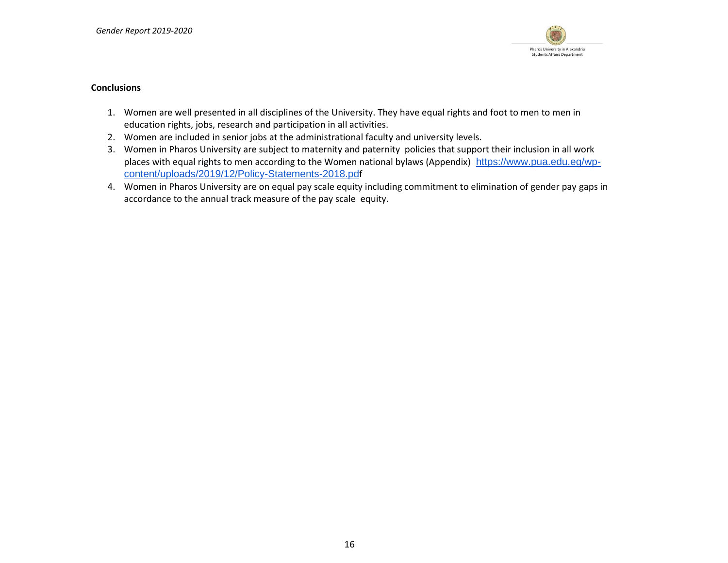

#### **Conclusions**

- 1. Women are well presented in all disciplines of the University. They have equal rights and foot to men to men in education rights, jobs, research and participation in all activities.
- 2. Women are included in senior jobs at the administrational faculty and university levels.
- 3. Women in Pharos University are subject to maternity and paternity policies that support their inclusion in all work places with equal rights to men according to the Women national bylaws (Appendix) [https://www.pua.edu.eg/wp](https://www.pua.edu.eg/wp-content/uploads/2019/12/Policy-Statements-2018.pdf)[content/uploads/2019/12/Policy-Statements-2018.pd](https://www.pua.edu.eg/wp-content/uploads/2019/12/Policy-Statements-2018.pdf)f
- 4. Women in Pharos University are on equal pay scale equity including commitment to elimination of gender pay gaps in accordance to the annual track measure of the pay scale equity.